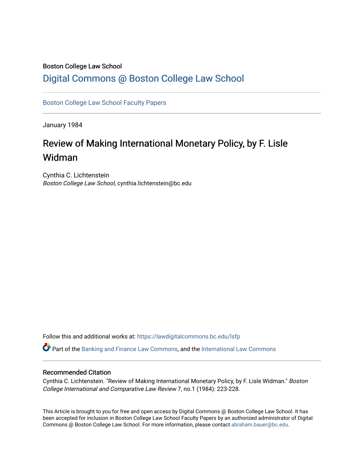## Boston College Law School [Digital Commons @ Boston College Law School](https://lawdigitalcommons.bc.edu/)

[Boston College Law School Faculty Papers](https://lawdigitalcommons.bc.edu/lsfp) 

January 1984

# Review of Making International Monetary Policy, by F. Lisle Widman

Cynthia C. Lichtenstein Boston College Law School, cynthia.lichtenstein@bc.edu

Follow this and additional works at: [https://lawdigitalcommons.bc.edu/lsfp](https://lawdigitalcommons.bc.edu/lsfp?utm_source=lawdigitalcommons.bc.edu%2Flsfp%2F831&utm_medium=PDF&utm_campaign=PDFCoverPages) 

Part of the [Banking and Finance Law Commons,](http://network.bepress.com/hgg/discipline/833?utm_source=lawdigitalcommons.bc.edu%2Flsfp%2F831&utm_medium=PDF&utm_campaign=PDFCoverPages) and the [International Law Commons](http://network.bepress.com/hgg/discipline/609?utm_source=lawdigitalcommons.bc.edu%2Flsfp%2F831&utm_medium=PDF&utm_campaign=PDFCoverPages)

#### Recommended Citation

Cynthia C. Lichtenstein. "Review of Making International Monetary Policy, by F. Lisle Widman." Boston College International and Comparative Law Review 7, no.1 (1984): 223-228.

This Article is brought to you for free and open access by Digital Commons @ Boston College Law School. It has been accepted for inclusion in Boston College Law School Faculty Papers by an authorized administrator of Digital Commons @ Boston College Law School. For more information, please contact [abraham.bauer@bc.edu.](mailto:abraham.bauer@bc.edu)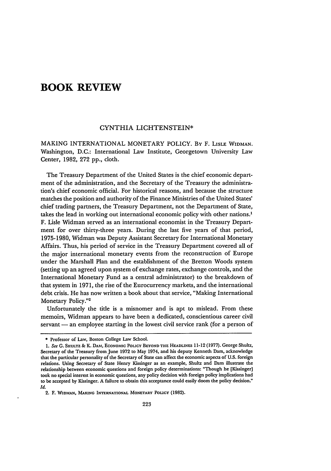### **BOOK REVIEW**

#### CYNTHIA LICHTENSTEIN\*

**MAKING INTERNATIONAL** MONETARY POLICY. **By** F. LISLE WIDMAN. Washington, **D.C.:** International Law Institute, Georgetown University Law Center, **1982, 272 pp.,** cloth.

The Treasury Department of the United States is the chief economic department of the administration, and the Secretary of the Treasury the administration's chief economic official. For historical reasons, and because the structure matches the position and authority of the Finance Ministries of the United States' chief trading partners, the Treasury Department, not the Department of State, takes the lead in working out international economic policy with other nations.' F. Lisle Widman served as an international economist in the Treasury Department for over thirty-three years. During the last five years of that period, **1975-1980,** Widman was Deputy Assistant Secretary for International Monetary Affairs. Thus, his period of service in the Treasury Department covered all of the major international monetary events from the reconstruction of Europe under the Marshall Plan and the establishment of the Bretton Woods system (setting up an agreed upon system of exchange rates, exchange controls, and the International Monetary Fund as a central administrator) to the breakdown of that system in **1971,** the rise of the Eurocurrency markets, and the international debt crisis. He has now written a book about that service, "Making International Monetary **Policy." <sup>2</sup>**

Unfortunately the title is a misnomer and is apt to mislead. From these memoirs, Widman appears to have been a dedicated, conscientious career civil servant — an employee starting in the lowest civil service rank (for a person of

**<sup>\*</sup>** Professor of Law, Boston College Law School.

**<sup>1.</sup>** *See* **G.** SHULTZ **&** K. DAl,!, **ECONOMIC POLICY** BEYOND **THE HEADLINES** 11-12 **(1977).** George Shultz, **Secretary of** the Treasury from June **1972** to May 1974, and his deputy Kenneth Dam, acknowledge that the particular personality of the Secretary of State can affect the economic aspects of U.S. foreign relations. Using Secretary of State Henry Kissinger as an example, Shultz and Dam illustrate the relationship between economic questions and foreign policy determinations: "Though he [Kissinger] took no special interest in economic questions, any policy decision with foreign policy implications had to be accepted **by** Kissinger. A failure to obtain this acceptance could easily doom the policy decision." *Id.*

<sup>2.</sup> F. **WIDMAN, MAKING INTERNATIONAL MONETARY POLICY (1982).**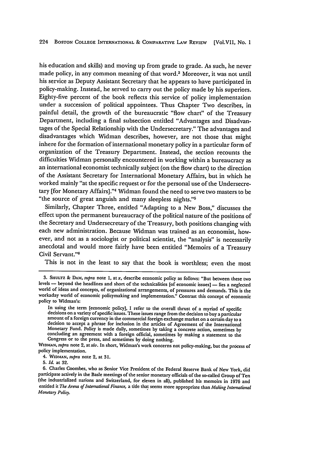his education and skills) and moving up from grade to grade. As such, he never made policy, in any common meaning of that word.3 Moreover, it was not until his service as Deputy Assistant Secretary that he appears to have participated in policy-making. Instead, he served to carry out the policy made **by** his superiors. Eighty-five percent of the book reflects this service of policy implementation under a succession of political appointees. Thus Chapter Two describes, in painful detail, the growth of the bureaucratic "flow chart" of the Treasury Department, including a final subsection entitled "Advantages and Disadvantages of the Special Relationship with the Undersecretary." The advantages and disadvantages which Widman describes, however, are not those that might inhere for the formation of international monetary policy in a particular form of organization of the Treasury Department. Instead, the section recounts the difficulties Widman personally encountered in working within a bureaucracy as an international economist technically subject (on the flow chart) to the direction of the Assistant Secretary for International Monetary Affairs, but in which he worked mainly "at the specific request or for the personal use of the Undersecretary [for Monetary Affairs]."4 Widman found the need to serve two masters to be "the source of great anguish and many sleepless nights."5

Similarly, Chapter Three, entitled "Adapting to a New Boss," discusses the effect upon the permanent bureaucracy of the political nature of the positions of the Secretary and Undersecretary of the Treasury, both positions changing with each new administration. Because Widman was trained as an economist, however, and not as a sociologist or political scientist, the "analysis" is necessarily anecdotal and would more fairly have been entitled "Memoirs of a Treasury Civil Servant."<sup>6</sup>

This is not in the least to say that the book is worthless; even the most

**<sup>3.</sup> SHULTZ** *&* DAm, *supra* note **1,** at x, describe economic policy as follows: "But between these two levels -- beyond the headlines and short of the technicalities [of economic issues] -- lies a neglected world of ideas and concepts, of organizational arrangements, of pressures and demands. This is the workaday world of economic policymaking and implementation." Contrast this concept of economic policy to Widman's:

In using the term [economic policy], I refer to the overall thrust of a myriad of specific<br>decisions on a variety of specific issues. These issues range from the decision to buy a particular<br>amount of a foreign currency in Monetary Fund. Policy is made daily, sometimes **by** taking a concrete action, sometimes **by** concluding an agreement with a foreign official, sometimes **by** making a statement to the

WIDMAN, *supra* note 2, at xiv. In short, Widman's work concerns not policy-making, but the process of policy implementation.

<sup>4.</sup> WIDMAN, supra note 2, at 31.

*<sup>5.</sup> Id.* at **32.**

**<sup>6.</sup>** Charles Coombes, who as Senior Vice President of the Federal Reserve Bank of New York, did participate actively in the Basle meetings of the senior monetary officials of the so-called Group of Ten (the industrialized nations and Switzerland, for eleven in all), published his memoirs in 1976 and entitled it *The Arena of International Finance*, a title that seems more appropriate than *Making International Monetary Policy.*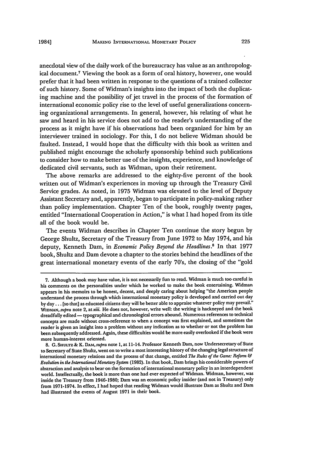anecdotal view of the daily work of the bureaucracy has value as an anthropological document.7 Viewing the book as a form of oral history, however, one would prefer that it had been written in response to the questions of a trained collector of such history. Some of Widman's insights into the impact of both the duplicating machine and the possibility of jet travel in the process of the formation of international economic policy rise to the level of useful generalizations concerning organizational arrangements. In general, however, his relating of what he saw and heard in his service does not add to the reader's understanding of the process as it might have if his observations had been organized for him by an interviewer trained in sociology. For this, I do not believe Widman should be faulted. Instead, I would hope that the difficulty with this book as written and published might encourage the scholarly sponsorship behind such publications to consider how to make better use of the insights, experience, and knowledge of dedicated civil servants, such as Widman, upon their retirement.

The above remarks are addressed to the eighty-five percent of the book written out of Widman's experiences in moving up through the Treasury Civil Service grades. As noted, in 1975 Widman was elevated to the level of Deputy Assistant Secretary and, apparently, began to participate in policy-making rather than policy implementation. Chapter Ten of the book, roughly twenty pages, entitled "International Cooperation in Action," is what I had hoped from its title all of the book would be.

The events Widman describes in Chapter Ten continue the story begun by George Shultz, Secretary of the Treasury from June 1972 to May 1974, and his deputy, Kenneth Dam, in *Economic Policy Beyond the Headlines.8* In that **1977** book, Shultz and Dam devote a chapter to the stories behind the headlines of the great international monetary events of the early 70's, the closing of the "gold

<sup>7.</sup> Although a book may have value, it is not necessarily fun to read. Widman is much too careful in his comments on the personalities under which he worked to make the book entertaining. Widman appears in his memoirs to be honest, decent, and deeply caring about helping "the American people understand the process through which international monetary policy is developed and carried out day by day... [so that] as educated citizens they will be better able to appraise whatever policy may prevail." *WID'AN,supra* note 2, at *xiii.* He does not, however, write well: the writing is hackneyed and the book dreadfully edited - typographical and chronological errors abound. Numerous references to technical concepts are made without cross-reference to when a concept was first explained, and sometimes the reader is given an insight into a problem without any indication as to whether or not the problem has been subsequently addressed. Again, these difficulties would be more easily overlooked if the book were more human-interest oriented.

<sup>8.</sup> **G. SHULTZ&** K. DAM,supra note 1, at 11-14. Professor Kenneth Dam, now Undersecretary of State to Secretary of State Shultz, went on to write a most interesting history of the changing legal structure of international monetary relations and the process of that change, entitled *The Rules of the Game: Reform & Evolution in the International Monetary System* (1982). In that book, Dam brings his considerable powers of abstraction and analysis to bear on the formation of international monetary policy in an interdependent world. Intellectually, the book is more than one had ever expected of Widman. Widman, however, was inside the Treasury from 1946-1980; Dam was an economic policy insider (and not in Treasury) only from 1971-1974. In effect, I had hoped that reading Widman would illustrate Dam as Shultz and Dam had illustrated the events of August 1971 in their book.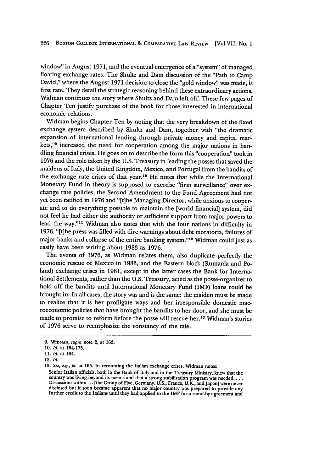window" in August **1971,** and the eventual emergence of a "system" of managed floating exchange rates. The Shultz and Dam discussion of the "Path to Camp David," where the August **1971** decision to close the "gold window" was made, is first rate. They detail the strategic reasoning behind these extraordinary actions. Widman continues the story where Shultz and Dam left off. These few pages of Chapter Ten justify purchase of the book for those interested in international economic relations.

Widman begins Chapter Ten by noting that the very breakdown of the fixed exchange system described **by** Shultz and Dam, together with "the dramatic expansion of international lending through private money and capital markets,"<sup>9</sup> increased the need for cooperation among the major nations in handling financial crises. He goes on to describe the form this "cooperation" took in **1976** and the role taken **by** the **U.S.** Treasury in leading the posses that saved the maidens of Italy, the United Kingdom, Mexico, and Portugal from the bandits of the exchange rate crises of that year.<sup>10</sup> He notes that while the International Monetary Fund in theory is supposed to exercise "firm surveillance" over exchange rate policies, the Second Amendment to the Fund Agreement had not yet been ratified in **1976** and "[t]he Managing Director, while anxious to cooperate and to do everything possible to maintain the [world financial] system, did not feel he had either the authority or sufficient support from major powers to lead the way."<sup>11</sup> Widman also notes that with the four nations in difficulty in **1976,** "[t]he press was filled with dire warnings about debt moratoria, failures of major banks and collapse of the entire banking system."<sup>12</sup> Widman could just as easily have been writing about **1983** as **1976.**

The events of **1976,** as Widman relates them, also duplicate perfectly the economic rescue of Mexico in **1983,** and the Eastern block (Rumania and **Po**land) exchange crises in **1981,** except in the latter cases the Bank for International Settlements, rather than the **U.S.** Treasury, acted as the posse-organizer to hold off the bandits until International Monetary Fund (IMF) loans could be brought in. In all cases, the story was and is the same: the maiden must be made to realize that it is her profligate ways and her irresponsible domestic macroeconomic policies that have brought the bandits to her door, and she must be made to promise to reform before the posse will rescue her.'3 Widman's stories of **1976** serve to reemphasize the constancy of the tale.

12. *Id.*

**13.** *See,* e.g., *id.* at **165.** In recounting the Italian exchange crises, Widman notes:

**<sup>9.</sup> WIDMAN,** supra note 2, at **163.**

**<sup>10.</sup>** *Id.* at **164-175.**

**<sup>11.</sup>** *Id.* at 164.

Senior Italian officials, both in the Bank of Italy and in the Treasury Ministry, knew that the country was living beyond its means and that a strong stabilization program was needed...<br>Discussions within ... [the Group of Five, Germany, U.S., France, U.K., and Japan] were never disclosed but it soon became apparent that no major country was prepared to provide any<br>further credit to the Italians until they had applied to the IMF for a stand-by agreement and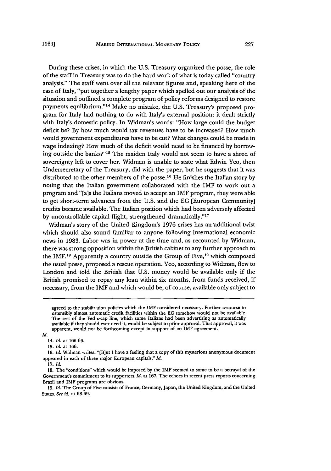During these crises, in which the U.S. Treasury organized the posse, the role of the staff in Treasury was to do the hard work of what is today called "country analysis." The staff went over all the relevant figures and, speaking here of the case of Italy, "put together a lengthy paper which spelled out our analysis of the situation and outlined a complete program of policy reforms designed to restore payments equilibrium."14 Make no mistake, the U.S. Treasury's proposed program for Italy had nothing to do with Italy's external position: it dealt strictly with Italy's domestic policy. In Widman's words: "How large could the budget deficit be? By how much would tax revenues have to be increased? How much would government expenditures have to be cut? What changes could be made in wage indexing? How much of the deficit would need to be financed by borrowing outside the banks?"15 The maiden Italy would not seem to have a shred of sovereignty left to cover her. Widman is unable to state what Edwin Yeo, then Undersecretary of the Treasury, did with the paper, but he suggests that it was distributed to the other members of the posse.<sup>16</sup> He finishes the Italian story by noting that the Italian government collaborated with the IMF to work out a program and "[a]s the Italians moved to accept an IMF program, they were able to get short-term advances from the U.S. and the **EC** [European Community] credits became available. The Italian position which had been adversely affected by uncontrollable capital flight, strengthened dramatically."<sup>17</sup>

Widman's story of the United Kingdom's 1976 crises has an 'additional twist which should also sound familiar to anyone following international economic news in 1983. Labor was in power at the time and, as recounted by Widman, there was strong opposition within the British cabinet to any further approach to the IMF.<sup>18</sup> Apparently a country outside the Group of Five,<sup>19</sup> which composed the usual posse, proposed a rescue operation. Yeo, according to Widman, flew to London and told the British that U.S. money would be available only if the British promised to repay any loan within six months, from funds received, if necessary, from the IMF and which would be, of course, available only subject to

**17.** *Id.*

agreed to the stabilization policies which the IMF considered necessary. Further recourse to ostensibly almost automatic credit facilities within the **EC** somehow would not be available. The rest of the Fed swap line, which some Italians had been advertising as automatically available if they should ever need **it,** would be subject to prior approval. That approval, it was apparent, would not be forthcoming except in support of an IMF agreement.

*Id.*

<sup>14.</sup> *Id.* at 165-66.

<sup>15.</sup> *Id.* at 166.

<sup>16.</sup> *Id.* Widman writes: "[Blut I have a feeling that a copy of this mysterious anonymous document appeared in each of three major European capitals." *Id.*

<sup>18.</sup> The "conditions" which would be imposed by the IMF seemed to some to be a betrayal of the Government's commitment to its supporters. *Id.* at 167. The echoes in recent press reports concerning Brazil and IMF programs are obvious.

<sup>19.</sup> *Id.* The Group of Five consists of France, Germany, Japan, the United Kingdom, and the United States. *See id.* at 68-69.